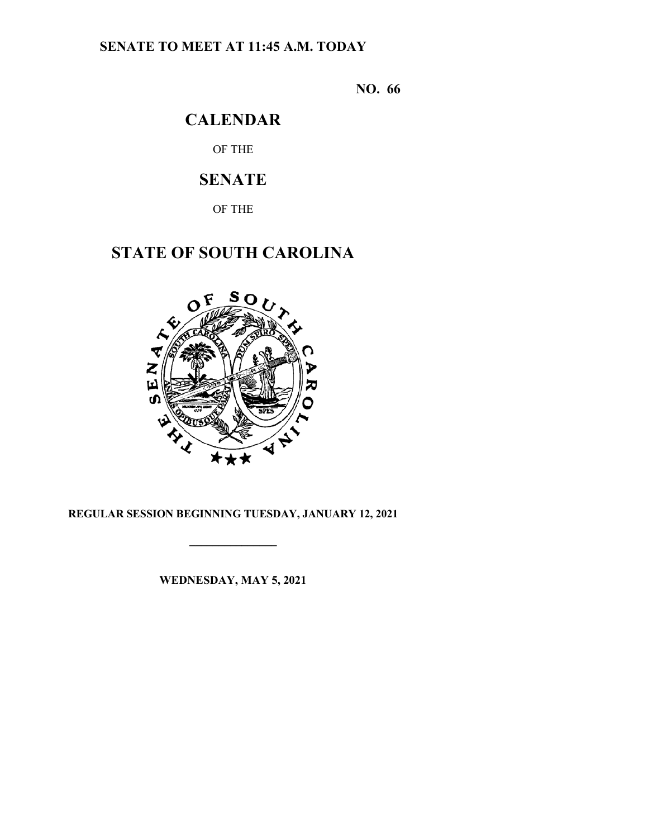## **SENATE TO MEET AT 11:45 A.M. TODAY**

**NO. 66**

# **CALENDAR**

OF THE

# **SENATE**

OF THE

# **STATE OF SOUTH CAROLINA**



## **REGULAR SESSION BEGINNING TUESDAY, JANUARY 12, 2021**

**\_\_\_\_\_\_\_\_\_\_\_\_\_\_\_**

**WEDNESDAY, MAY 5, 2021**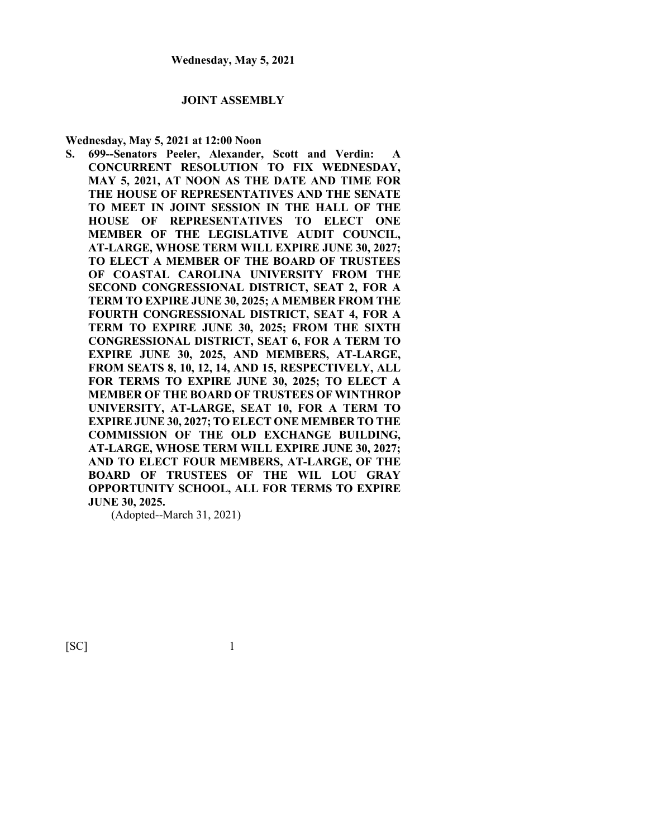#### **JOINT ASSEMBLY**

#### **Wednesday, May 5, 2021 at 12:00 Noon**

**S. 699--Senators Peeler, Alexander, Scott and Verdin: A CONCURRENT RESOLUTION TO FIX WEDNESDAY, MAY 5, 2021, AT NOON AS THE DATE AND TIME FOR THE HOUSE OF REPRESENTATIVES AND THE SENATE TO MEET IN JOINT SESSION IN THE HALL OF THE HOUSE OF REPRESENTATIVES TO ELECT ONE MEMBER OF THE LEGISLATIVE AUDIT COUNCIL, AT-LARGE, WHOSE TERM WILL EXPIRE JUNE 30, 2027; TO ELECT A MEMBER OF THE BOARD OF TRUSTEES OF COASTAL CAROLINA UNIVERSITY FROM THE SECOND CONGRESSIONAL DISTRICT, SEAT 2, FOR A TERM TO EXPIRE JUNE 30, 2025; A MEMBER FROM THE FOURTH CONGRESSIONAL DISTRICT, SEAT 4, FOR A TERM TO EXPIRE JUNE 30, 2025; FROM THE SIXTH CONGRESSIONAL DISTRICT, SEAT 6, FOR A TERM TO EXPIRE JUNE 30, 2025, AND MEMBERS, AT-LARGE, FROM SEATS 8, 10, 12, 14, AND 15, RESPECTIVELY, ALL FOR TERMS TO EXPIRE JUNE 30, 2025; TO ELECT A MEMBER OF THE BOARD OF TRUSTEES OF WINTHROP UNIVERSITY, AT-LARGE, SEAT 10, FOR A TERM TO EXPIRE JUNE 30, 2027; TO ELECT ONE MEMBER TO THE COMMISSION OF THE OLD EXCHANGE BUILDING, AT-LARGE, WHOSE TERM WILL EXPIRE JUNE 30, 2027; AND TO ELECT FOUR MEMBERS, AT-LARGE, OF THE BOARD OF TRUSTEES OF THE WIL LOU GRAY OPPORTUNITY SCHOOL, ALL FOR TERMS TO EXPIRE JUNE 30, 2025.**

(Adopted--March 31, 2021)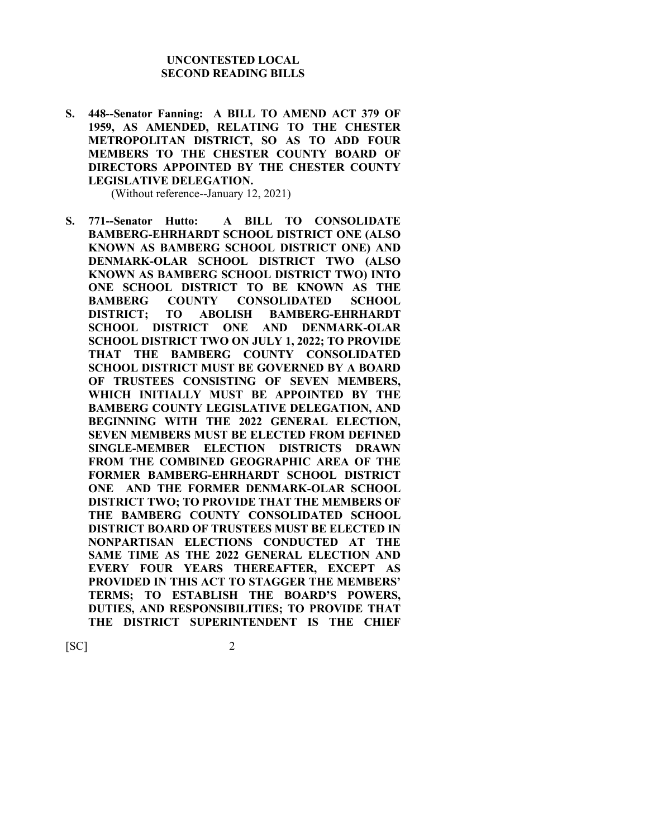### **UNCONTESTED LOCAL SECOND READING BILLS**

**S. 448--Senator Fanning: A BILL TO AMEND ACT 379 OF 1959, AS AMENDED, RELATING TO THE CHESTER METROPOLITAN DISTRICT, SO AS TO ADD FOUR MEMBERS TO THE CHESTER COUNTY BOARD OF DIRECTORS APPOINTED BY THE CHESTER COUNTY LEGISLATIVE DELEGATION.**

(Without reference--January 12, 2021)

**S. 771--Senator Hutto: A BILL TO CONSOLIDATE BAMBERG-EHRHARDT SCHOOL DISTRICT ONE (ALSO KNOWN AS BAMBERG SCHOOL DISTRICT ONE) AND DENMARK-OLAR SCHOOL DISTRICT TWO (ALSO KNOWN AS BAMBERG SCHOOL DISTRICT TWO) INTO ONE SCHOOL DISTRICT TO BE KNOWN AS THE BAMBERG COUNTY CONSOLIDATED SCHOOL DISTRICT; TO ABOLISH BAMBERG-EHRHARDT SCHOOL DISTRICT ONE AND DENMARK-OLAR SCHOOL DISTRICT TWO ON JULY 1, 2022; TO PROVIDE THAT THE BAMBERG COUNTY CONSOLIDATED SCHOOL DISTRICT MUST BE GOVERNED BY A BOARD OF TRUSTEES CONSISTING OF SEVEN MEMBERS, WHICH INITIALLY MUST BE APPOINTED BY THE BAMBERG COUNTY LEGISLATIVE DELEGATION, AND BEGINNING WITH THE 2022 GENERAL ELECTION, SEVEN MEMBERS MUST BE ELECTED FROM DEFINED SINGLE-MEMBER ELECTION DISTRICTS DRAWN FROM THE COMBINED GEOGRAPHIC AREA OF THE FORMER BAMBERG-EHRHARDT SCHOOL DISTRICT ONE AND THE FORMER DENMARK-OLAR SCHOOL DISTRICT TWO; TO PROVIDE THAT THE MEMBERS OF THE BAMBERG COUNTY CONSOLIDATED SCHOOL DISTRICT BOARD OF TRUSTEES MUST BE ELECTED IN NONPARTISAN ELECTIONS CONDUCTED AT THE SAME TIME AS THE 2022 GENERAL ELECTION AND EVERY FOUR YEARS THEREAFTER, EXCEPT AS PROVIDED IN THIS ACT TO STAGGER THE MEMBERS' TERMS; TO ESTABLISH THE BOARD'S POWERS, DUTIES, AND RESPONSIBILITIES; TO PROVIDE THAT THE DISTRICT SUPERINTENDENT IS THE CHIEF**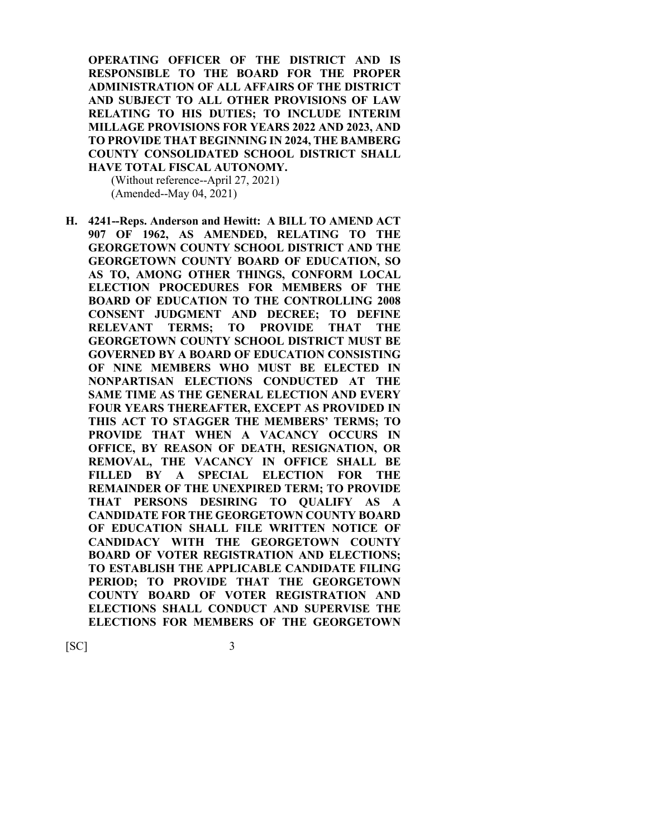**OPERATING OFFICER OF THE DISTRICT AND IS RESPONSIBLE TO THE BOARD FOR THE PROPER ADMINISTRATION OF ALL AFFAIRS OF THE DISTRICT AND SUBJECT TO ALL OTHER PROVISIONS OF LAW RELATING TO HIS DUTIES; TO INCLUDE INTERIM MILLAGE PROVISIONS FOR YEARS 2022 AND 2023, AND TO PROVIDE THAT BEGINNING IN 2024, THE BAMBERG COUNTY CONSOLIDATED SCHOOL DISTRICT SHALL HAVE TOTAL FISCAL AUTONOMY.**

(Without reference--April 27, 2021) (Amended--May 04, 2021)

**H. 4241--Reps. Anderson and Hewitt: A BILL TO AMEND ACT 907 OF 1962, AS AMENDED, RELATING TO THE GEORGETOWN COUNTY SCHOOL DISTRICT AND THE GEORGETOWN COUNTY BOARD OF EDUCATION, SO AS TO, AMONG OTHER THINGS, CONFORM LOCAL ELECTION PROCEDURES FOR MEMBERS OF THE BOARD OF EDUCATION TO THE CONTROLLING 2008 CONSENT JUDGMENT AND DECREE; TO DEFINE RELEVANT TERMS; TO PROVIDE THAT THE GEORGETOWN COUNTY SCHOOL DISTRICT MUST BE GOVERNED BY A BOARD OF EDUCATION CONSISTING OF NINE MEMBERS WHO MUST BE ELECTED IN NONPARTISAN ELECTIONS CONDUCTED AT THE SAME TIME AS THE GENERAL ELECTION AND EVERY FOUR YEARS THEREAFTER, EXCEPT AS PROVIDED IN THIS ACT TO STAGGER THE MEMBERS' TERMS; TO PROVIDE THAT WHEN A VACANCY OCCURS IN OFFICE, BY REASON OF DEATH, RESIGNATION, OR REMOVAL, THE VACANCY IN OFFICE SHALL BE FILLED BY A SPECIAL ELECTION FOR THE REMAINDER OF THE UNEXPIRED TERM; TO PROVIDE THAT PERSONS DESIRING TO QUALIFY AS A CANDIDATE FOR THE GEORGETOWN COUNTY BOARD OF EDUCATION SHALL FILE WRITTEN NOTICE OF CANDIDACY WITH THE GEORGETOWN COUNTY BOARD OF VOTER REGISTRATION AND ELECTIONS; TO ESTABLISH THE APPLICABLE CANDIDATE FILING PERIOD; TO PROVIDE THAT THE GEORGETOWN COUNTY BOARD OF VOTER REGISTRATION AND ELECTIONS SHALL CONDUCT AND SUPERVISE THE ELECTIONS FOR MEMBERS OF THE GEORGETOWN**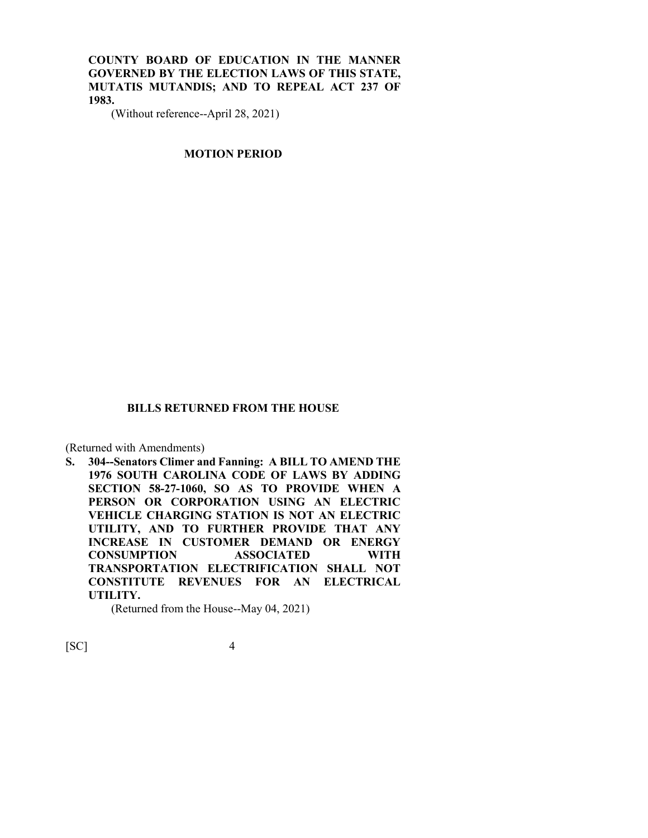**COUNTY BOARD OF EDUCATION IN THE MANNER GOVERNED BY THE ELECTION LAWS OF THIS STATE, MUTATIS MUTANDIS; AND TO REPEAL ACT 237 OF 1983.**

(Without reference--April 28, 2021)

### **MOTION PERIOD**

### **BILLS RETURNED FROM THE HOUSE**

(Returned with Amendments)

**S. 304--Senators Climer and Fanning: A BILL TO AMEND THE 1976 SOUTH CAROLINA CODE OF LAWS BY ADDING SECTION 58-27-1060, SO AS TO PROVIDE WHEN A PERSON OR CORPORATION USING AN ELECTRIC VEHICLE CHARGING STATION IS NOT AN ELECTRIC UTILITY, AND TO FURTHER PROVIDE THAT ANY INCREASE IN CUSTOMER DEMAND OR ENERGY CONSUMPTION ASSOCIATED WITH TRANSPORTATION ELECTRIFICATION SHALL NOT CONSTITUTE REVENUES FOR AN ELECTRICAL UTILITY.**

(Returned from the House--May 04, 2021)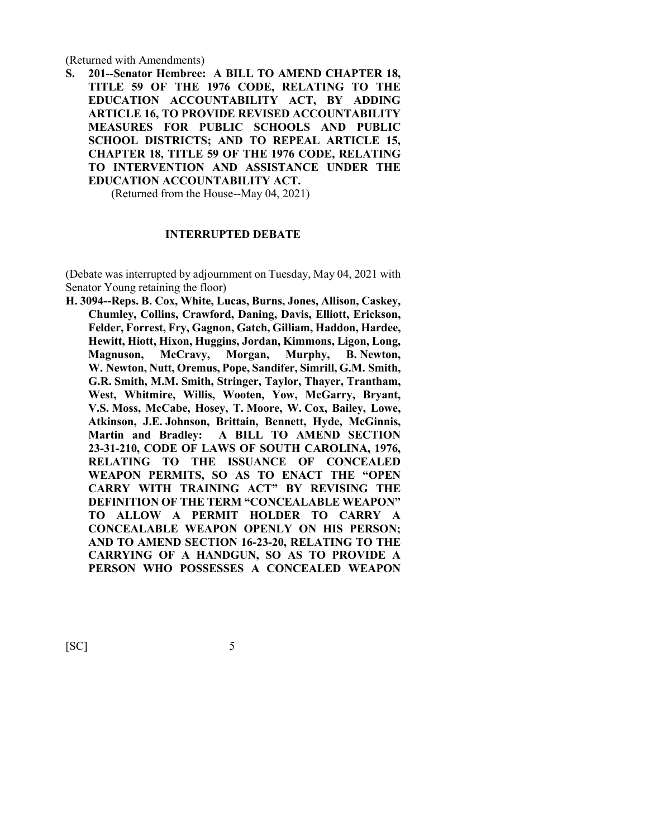(Returned with Amendments)

**S. 201--Senator Hembree: A BILL TO AMEND CHAPTER 18, TITLE 59 OF THE 1976 CODE, RELATING TO THE EDUCATION ACCOUNTABILITY ACT, BY ADDING ARTICLE 16, TO PROVIDE REVISED ACCOUNTABILITY MEASURES FOR PUBLIC SCHOOLS AND PUBLIC SCHOOL DISTRICTS; AND TO REPEAL ARTICLE 15, CHAPTER 18, TITLE 59 OF THE 1976 CODE, RELATING TO INTERVENTION AND ASSISTANCE UNDER THE EDUCATION ACCOUNTABILITY ACT.**

(Returned from the House--May 04, 2021)

#### **INTERRUPTED DEBATE**

(Debate was interrupted by adjournment on Tuesday, May 04, 2021 with Senator Young retaining the floor)

**H. 3094--Reps. B. Cox, White, Lucas, Burns, Jones, Allison, Caskey, Chumley, Collins, Crawford, Daning, Davis, Elliott, Erickson, Felder, Forrest, Fry, Gagnon, Gatch, Gilliam, Haddon, Hardee, Hewitt, Hiott, Hixon, Huggins, Jordan, Kimmons, Ligon, Long, Magnuson, McCravy, Morgan, Murphy, B. Newton, W. Newton, Nutt, Oremus, Pope, Sandifer, Simrill, G.M. Smith, G.R. Smith, M.M. Smith, Stringer, Taylor, Thayer, Trantham, West, Whitmire, Willis, Wooten, Yow, McGarry, Bryant, V.S. Moss, McCabe, Hosey, T. Moore, W. Cox, Bailey, Lowe, Atkinson, J.E. Johnson, Brittain, Bennett, Hyde, McGinnis, Martin and Bradley: A BILL TO AMEND SECTION 23-31-210, CODE OF LAWS OF SOUTH CAROLINA, 1976, RELATING TO THE ISSUANCE OF CONCEALED WEAPON PERMITS, SO AS TO ENACT THE "OPEN CARRY WITH TRAINING ACT" BY REVISING THE DEFINITION OF THE TERM "CONCEALABLE WEAPON" TO ALLOW A PERMIT HOLDER TO CARRY A CONCEALABLE WEAPON OPENLY ON HIS PERSON; AND TO AMEND SECTION 16-23-20, RELATING TO THE CARRYING OF A HANDGUN, SO AS TO PROVIDE A PERSON WHO POSSESSES A CONCEALED WEAPON**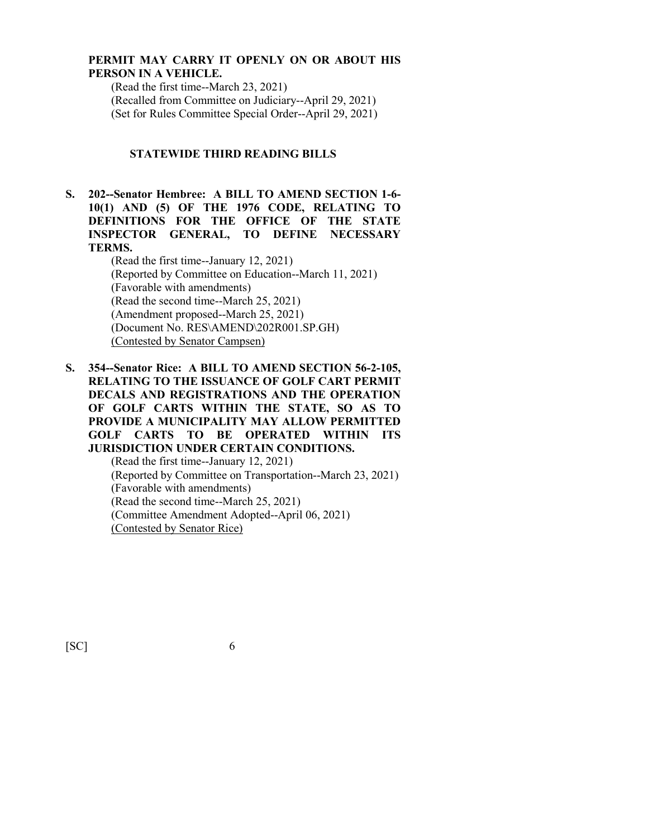## **PERMIT MAY CARRY IT OPENLY ON OR ABOUT HIS PERSON IN A VEHICLE.**

(Read the first time--March 23, 2021) (Recalled from Committee on Judiciary--April 29, 2021) (Set for Rules Committee Special Order--April 29, 2021)

## **STATEWIDE THIRD READING BILLS**

**S. 202--Senator Hembree: A BILL TO AMEND SECTION 1-6- 10(1) AND (5) OF THE 1976 CODE, RELATING TO DEFINITIONS FOR THE OFFICE OF THE STATE INSPECTOR GENERAL, TO DEFINE NECESSARY TERMS.**

(Read the first time--January 12, 2021) (Reported by Committee on Education--March 11, 2021) (Favorable with amendments) (Read the second time--March 25, 2021) (Amendment proposed--March 25, 2021) (Document No. RES\AMEND\202R001.SP.GH) (Contested by Senator Campsen)

**S. 354--Senator Rice: A BILL TO AMEND SECTION 56-2-105, RELATING TO THE ISSUANCE OF GOLF CART PERMIT DECALS AND REGISTRATIONS AND THE OPERATION OF GOLF CARTS WITHIN THE STATE, SO AS TO PROVIDE A MUNICIPALITY MAY ALLOW PERMITTED GOLF CARTS TO BE OPERATED WITHIN ITS JURISDICTION UNDER CERTAIN CONDITIONS.** (Read the first time--January 12, 2021) (Reported by Committee on Transportation--March 23, 2021) (Favorable with amendments)

(Read the second time--March 25, 2021)

(Committee Amendment Adopted--April 06, 2021)

(Contested by Senator Rice)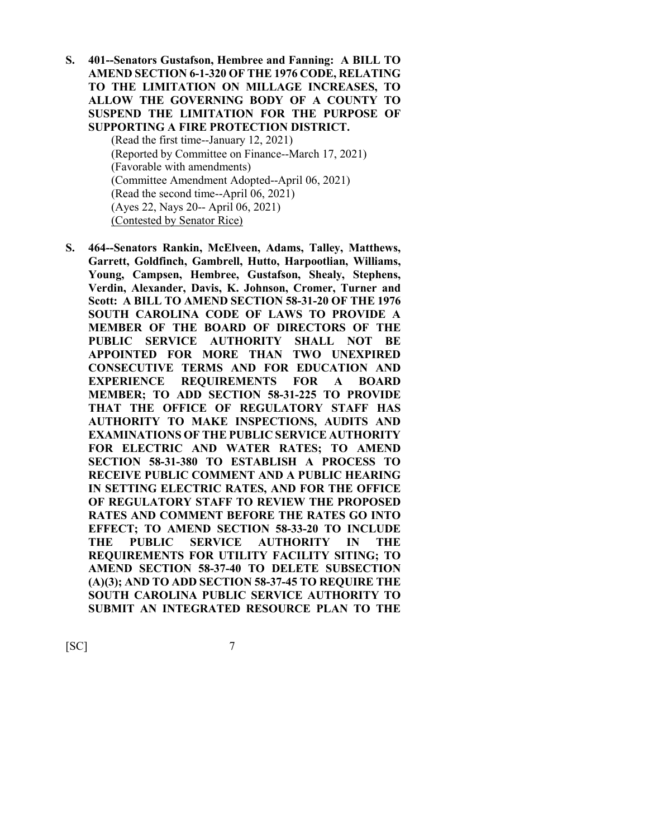**S. 401--Senators Gustafson, Hembree and Fanning: A BILL TO AMEND SECTION 6-1-320 OF THE 1976 CODE, RELATING TO THE LIMITATION ON MILLAGE INCREASES, TO ALLOW THE GOVERNING BODY OF A COUNTY TO SUSPEND THE LIMITATION FOR THE PURPOSE OF SUPPORTING A FIRE PROTECTION DISTRICT.**

> (Read the first time--January 12, 2021) (Reported by Committee on Finance--March 17, 2021) (Favorable with amendments) (Committee Amendment Adopted--April 06, 2021) (Read the second time--April 06, 2021) (Ayes 22, Nays 20-- April 06, 2021) (Contested by Senator Rice)

**S. 464--Senators Rankin, McElveen, Adams, Talley, Matthews, Garrett, Goldfinch, Gambrell, Hutto, Harpootlian, Williams, Young, Campsen, Hembree, Gustafson, Shealy, Stephens, Verdin, Alexander, Davis, K. Johnson, Cromer, Turner and Scott: A BILL TO AMEND SECTION 58-31-20 OF THE 1976 SOUTH CAROLINA CODE OF LAWS TO PROVIDE A MEMBER OF THE BOARD OF DIRECTORS OF THE PUBLIC SERVICE AUTHORITY SHALL NOT BE APPOINTED FOR MORE THAN TWO UNEXPIRED CONSECUTIVE TERMS AND FOR EDUCATION AND EXPERIENCE REQUIREMENTS FOR A BOARD MEMBER; TO ADD SECTION 58-31-225 TO PROVIDE THAT THE OFFICE OF REGULATORY STAFF HAS AUTHORITY TO MAKE INSPECTIONS, AUDITS AND EXAMINATIONS OF THE PUBLIC SERVICE AUTHORITY FOR ELECTRIC AND WATER RATES; TO AMEND SECTION 58-31-380 TO ESTABLISH A PROCESS TO RECEIVE PUBLIC COMMENT AND A PUBLIC HEARING IN SETTING ELECTRIC RATES, AND FOR THE OFFICE OF REGULATORY STAFF TO REVIEW THE PROPOSED RATES AND COMMENT BEFORE THE RATES GO INTO EFFECT; TO AMEND SECTION 58-33-20 TO INCLUDE THE PUBLIC SERVICE AUTHORITY IN THE REQUIREMENTS FOR UTILITY FACILITY SITING; TO AMEND SECTION 58-37-40 TO DELETE SUBSECTION (A)(3); AND TO ADD SECTION 58-37-45 TO REQUIRE THE SOUTH CAROLINA PUBLIC SERVICE AUTHORITY TO SUBMIT AN INTEGRATED RESOURCE PLAN TO THE**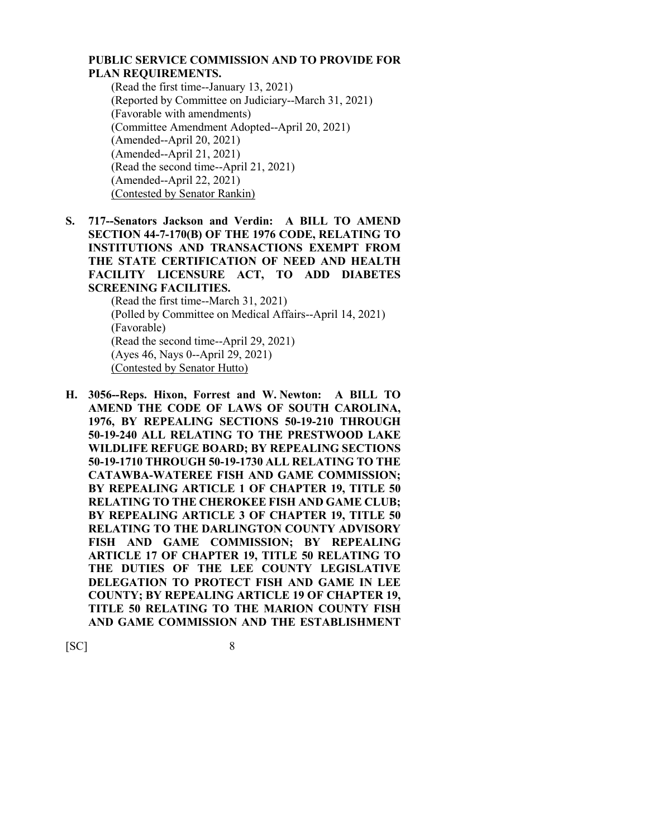## **PUBLIC SERVICE COMMISSION AND TO PROVIDE FOR PLAN REQUIREMENTS.**

(Read the first time--January 13, 2021) (Reported by Committee on Judiciary--March 31, 2021) (Favorable with amendments) (Committee Amendment Adopted--April 20, 2021) (Amended--April 20, 2021) (Amended--April 21, 2021) (Read the second time--April 21, 2021) (Amended--April 22, 2021) (Contested by Senator Rankin)

**S. 717--Senators Jackson and Verdin: A BILL TO AMEND SECTION 44-7-170(B) OF THE 1976 CODE, RELATING TO INSTITUTIONS AND TRANSACTIONS EXEMPT FROM THE STATE CERTIFICATION OF NEED AND HEALTH FACILITY LICENSURE ACT, TO ADD DIABETES SCREENING FACILITIES.** (Read the first time--March 31, 2021)

(Polled by Committee on Medical Affairs--April 14, 2021) (Favorable) (Read the second time--April 29, 2021) (Ayes 46, Nays 0--April 29, 2021) (Contested by Senator Hutto)

**H. 3056--Reps. Hixon, Forrest and W. Newton: A BILL TO AMEND THE CODE OF LAWS OF SOUTH CAROLINA, 1976, BY REPEALING SECTIONS 50-19-210 THROUGH 50-19-240 ALL RELATING TO THE PRESTWOOD LAKE WILDLIFE REFUGE BOARD; BY REPEALING SECTIONS 50-19-1710 THROUGH 50-19-1730 ALL RELATING TO THE CATAWBA-WATEREE FISH AND GAME COMMISSION; BY REPEALING ARTICLE 1 OF CHAPTER 19, TITLE 50 RELATING TO THE CHEROKEE FISH AND GAME CLUB; BY REPEALING ARTICLE 3 OF CHAPTER 19, TITLE 50 RELATING TO THE DARLINGTON COUNTY ADVISORY FISH AND GAME COMMISSION; BY REPEALING ARTICLE 17 OF CHAPTER 19, TITLE 50 RELATING TO THE DUTIES OF THE LEE COUNTY LEGISLATIVE DELEGATION TO PROTECT FISH AND GAME IN LEE COUNTY; BY REPEALING ARTICLE 19 OF CHAPTER 19, TITLE 50 RELATING TO THE MARION COUNTY FISH AND GAME COMMISSION AND THE ESTABLISHMENT**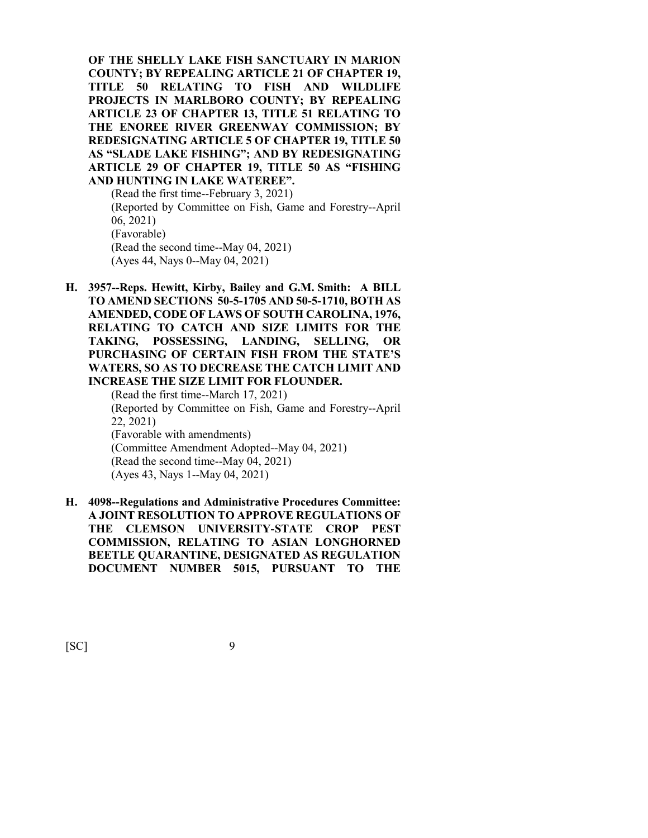**OF THE SHELLY LAKE FISH SANCTUARY IN MARION COUNTY; BY REPEALING ARTICLE 21 OF CHAPTER 19, TITLE 50 RELATING TO FISH AND WILDLIFE PROJECTS IN MARLBORO COUNTY; BY REPEALING ARTICLE 23 OF CHAPTER 13, TITLE 51 RELATING TO THE ENOREE RIVER GREENWAY COMMISSION; BY REDESIGNATING ARTICLE 5 OF CHAPTER 19, TITLE 50 AS "SLADE LAKE FISHING"; AND BY REDESIGNATING ARTICLE 29 OF CHAPTER 19, TITLE 50 AS "FISHING AND HUNTING IN LAKE WATEREE".**

(Read the first time--February 3, 2021) (Reported by Committee on Fish, Game and Forestry--April 06, 2021) (Favorable) (Read the second time--May 04, 2021) (Ayes 44, Nays 0--May 04, 2021)

**H. 3957--Reps. Hewitt, Kirby, Bailey and G.M. Smith: A BILL TO AMEND SECTIONS 50-5-1705 AND 50-5-1710, BOTH AS AMENDED, CODE OF LAWS OF SOUTH CAROLINA, 1976, RELATING TO CATCH AND SIZE LIMITS FOR THE TAKING, POSSESSING, LANDING, SELLING, OR PURCHASING OF CERTAIN FISH FROM THE STATE'S WATERS, SO AS TO DECREASE THE CATCH LIMIT AND INCREASE THE SIZE LIMIT FOR FLOUNDER.**

(Read the first time--March 17, 2021) (Reported by Committee on Fish, Game and Forestry--April 22, 2021) (Favorable with amendments) (Committee Amendment Adopted--May 04, 2021) (Read the second time--May 04, 2021) (Ayes 43, Nays 1--May 04, 2021)

**H. 4098--Regulations and Administrative Procedures Committee: A JOINT RESOLUTION TO APPROVE REGULATIONS OF THE CLEMSON UNIVERSITY-STATE CROP PEST COMMISSION, RELATING TO ASIAN LONGHORNED BEETLE QUARANTINE, DESIGNATED AS REGULATION DOCUMENT NUMBER 5015, PURSUANT TO THE**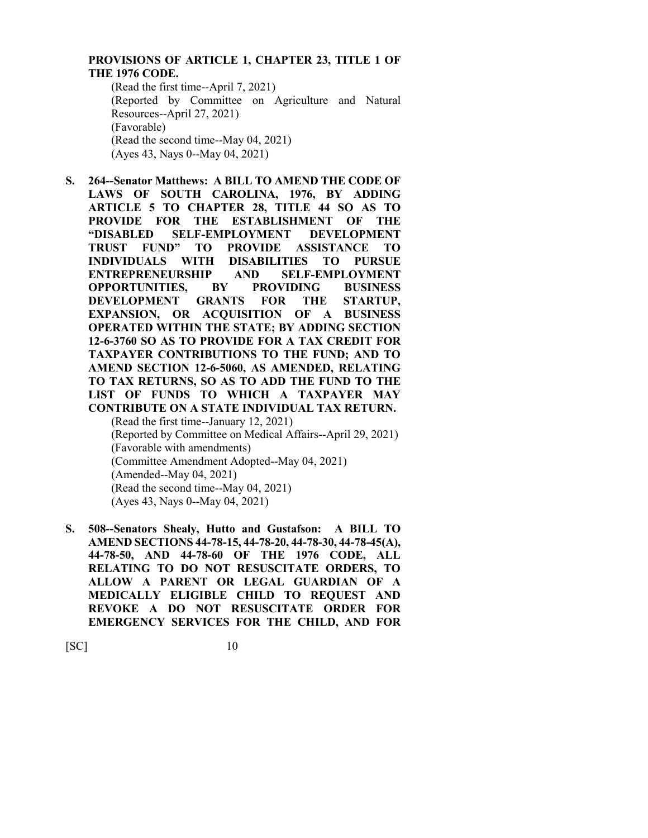## **PROVISIONS OF ARTICLE 1, CHAPTER 23, TITLE 1 OF THE 1976 CODE.**

(Read the first time--April 7, 2021) (Reported by Committee on Agriculture and Natural Resources--April 27, 2021) (Favorable) (Read the second time--May 04, 2021) (Ayes 43, Nays 0--May 04, 2021)

- **S. 264--Senator Matthews: A BILL TO AMEND THE CODE OF LAWS OF SOUTH CAROLINA, 1976, BY ADDING ARTICLE 5 TO CHAPTER 28, TITLE 44 SO AS TO PROVIDE FOR THE ESTABLISHMENT OF THE "DISABLED SELF-EMPLOYMENT DEVELOPMENT TRUST FUND" TO PROVIDE ASSISTANCE TO INDIVIDUALS WITH DISABILITIES TO PURSUE ENTREPRENEURSHIP AND SELF-EMPLOYMENT OPPORTUNITIES, BY PROVIDING BUSINESS DEVELOPMENT GRANTS FOR THE STARTUP, EXPANSION, OR ACQUISITION OF A BUSINESS OPERATED WITHIN THE STATE; BY ADDING SECTION 12-6-3760 SO AS TO PROVIDE FOR A TAX CREDIT FOR TAXPAYER CONTRIBUTIONS TO THE FUND; AND TO AMEND SECTION 12-6-5060, AS AMENDED, RELATING TO TAX RETURNS, SO AS TO ADD THE FUND TO THE LIST OF FUNDS TO WHICH A TAXPAYER MAY CONTRIBUTE ON A STATE INDIVIDUAL TAX RETURN.** (Read the first time--January 12, 2021) (Reported by Committee on Medical Affairs--April 29, 2021) (Favorable with amendments) (Committee Amendment Adopted--May 04, 2021)
	- (Amended--May 04, 2021)
	- (Read the second time--May 04, 2021)
	- (Ayes 43, Nays 0--May 04, 2021)
- **S. 508--Senators Shealy, Hutto and Gustafson: A BILL TO AMEND SECTIONS 44-78-15, 44-78-20, 44-78-30, 44-78-45(A), 44-78-50, AND 44-78-60 OF THE 1976 CODE, ALL RELATING TO DO NOT RESUSCITATE ORDERS, TO ALLOW A PARENT OR LEGAL GUARDIAN OF A MEDICALLY ELIGIBLE CHILD TO REQUEST AND REVOKE A DO NOT RESUSCITATE ORDER FOR EMERGENCY SERVICES FOR THE CHILD, AND FOR**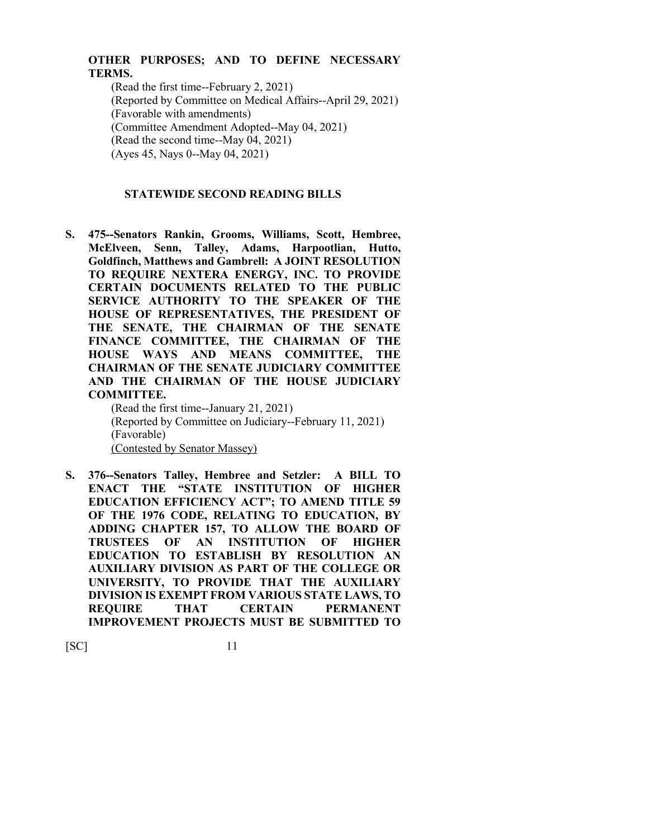## **OTHER PURPOSES; AND TO DEFINE NECESSARY TERMS.**

(Read the first time--February 2, 2021) (Reported by Committee on Medical Affairs--April 29, 2021) (Favorable with amendments) (Committee Amendment Adopted--May 04, 2021) (Read the second time--May 04, 2021) (Ayes 45, Nays 0--May 04, 2021)

## **STATEWIDE SECOND READING BILLS**

**S. 475--Senators Rankin, Grooms, Williams, Scott, Hembree, McElveen, Senn, Talley, Adams, Harpootlian, Hutto, Goldfinch, Matthews and Gambrell: A JOINT RESOLUTION TO REQUIRE NEXTERA ENERGY, INC. TO PROVIDE CERTAIN DOCUMENTS RELATED TO THE PUBLIC SERVICE AUTHORITY TO THE SPEAKER OF THE HOUSE OF REPRESENTATIVES, THE PRESIDENT OF THE SENATE, THE CHAIRMAN OF THE SENATE FINANCE COMMITTEE, THE CHAIRMAN OF THE HOUSE WAYS AND MEANS COMMITTEE, THE CHAIRMAN OF THE SENATE JUDICIARY COMMITTEE AND THE CHAIRMAN OF THE HOUSE JUDICIARY COMMITTEE.**

(Read the first time--January 21, 2021) (Reported by Committee on Judiciary--February 11, 2021) (Favorable) (Contested by Senator Massey)

**S. 376--Senators Talley, Hembree and Setzler: A BILL TO ENACT THE "STATE INSTITUTION OF HIGHER EDUCATION EFFICIENCY ACT"; TO AMEND TITLE 59 OF THE 1976 CODE, RELATING TO EDUCATION, BY ADDING CHAPTER 157, TO ALLOW THE BOARD OF TRUSTEES OF AN INSTITUTION OF HIGHER EDUCATION TO ESTABLISH BY RESOLUTION AN AUXILIARY DIVISION AS PART OF THE COLLEGE OR UNIVERSITY, TO PROVIDE THAT THE AUXILIARY DIVISION IS EXEMPT FROM VARIOUS STATE LAWS, TO REQUIRE THAT CERTAIN PERMANENT IMPROVEMENT PROJECTS MUST BE SUBMITTED TO**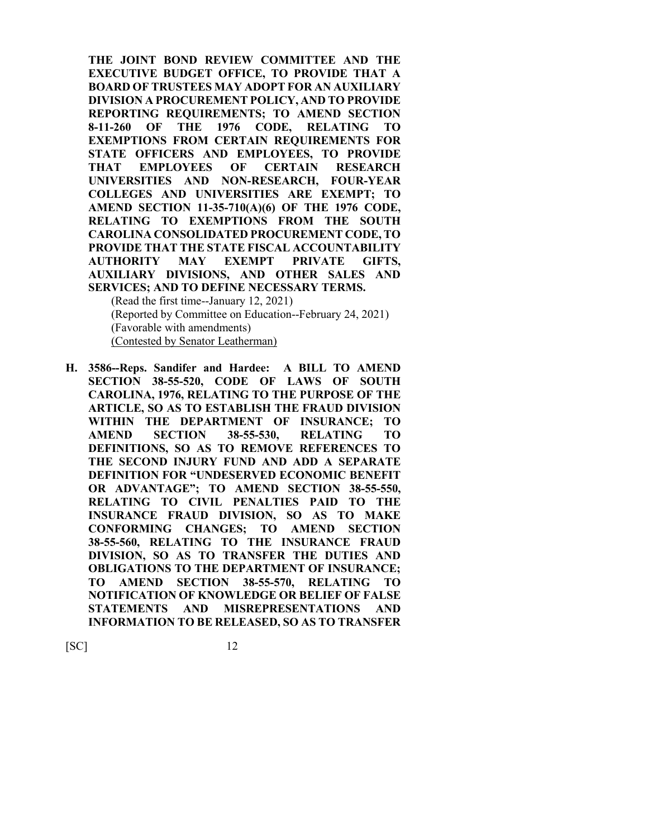**THE JOINT BOND REVIEW COMMITTEE AND THE EXECUTIVE BUDGET OFFICE, TO PROVIDE THAT A BOARD OF TRUSTEES MAY ADOPT FOR AN AUXILIARY DIVISION A PROCUREMENT POLICY, AND TO PROVIDE REPORTING REQUIREMENTS; TO AMEND SECTION 8-11-260 OF THE 1976 CODE, RELATING TO EXEMPTIONS FROM CERTAIN REQUIREMENTS FOR STATE OFFICERS AND EMPLOYEES, TO PROVIDE THAT EMPLOYEES OF CERTAIN RESEARCH UNIVERSITIES AND NON-RESEARCH, FOUR-YEAR COLLEGES AND UNIVERSITIES ARE EXEMPT; TO AMEND SECTION 11-35-710(A)(6) OF THE 1976 CODE, RELATING TO EXEMPTIONS FROM THE SOUTH CAROLINA CONSOLIDATED PROCUREMENT CODE, TO PROVIDE THAT THE STATE FISCAL ACCOUNTABILITY AUTHORITY MAY EXEMPT PRIVATE GIFTS, AUXILIARY DIVISIONS, AND OTHER SALES AND SERVICES; AND TO DEFINE NECESSARY TERMS.**

(Read the first time--January 12, 2021) (Reported by Committee on Education--February 24, 2021) (Favorable with amendments) (Contested by Senator Leatherman)

**H. 3586--Reps. Sandifer and Hardee: A BILL TO AMEND SECTION 38-55-520, CODE OF LAWS OF SOUTH CAROLINA, 1976, RELATING TO THE PURPOSE OF THE ARTICLE, SO AS TO ESTABLISH THE FRAUD DIVISION WITHIN THE DEPARTMENT OF INSURANCE; TO AMEND SECTION 38-55-530, RELATING TO DEFINITIONS, SO AS TO REMOVE REFERENCES TO THE SECOND INJURY FUND AND ADD A SEPARATE DEFINITION FOR "UNDESERVED ECONOMIC BENEFIT OR ADVANTAGE"; TO AMEND SECTION 38-55-550, RELATING TO CIVIL PENALTIES PAID TO THE INSURANCE FRAUD DIVISION, SO AS TO MAKE CONFORMING CHANGES; TO AMEND SECTION 38-55-560, RELATING TO THE INSURANCE FRAUD DIVISION, SO AS TO TRANSFER THE DUTIES AND OBLIGATIONS TO THE DEPARTMENT OF INSURANCE; TO AMEND SECTION 38-55-570, RELATING TO NOTIFICATION OF KNOWLEDGE OR BELIEF OF FALSE STATEMENTS AND MISREPRESENTATIONS AND INFORMATION TO BE RELEASED, SO AS TO TRANSFER**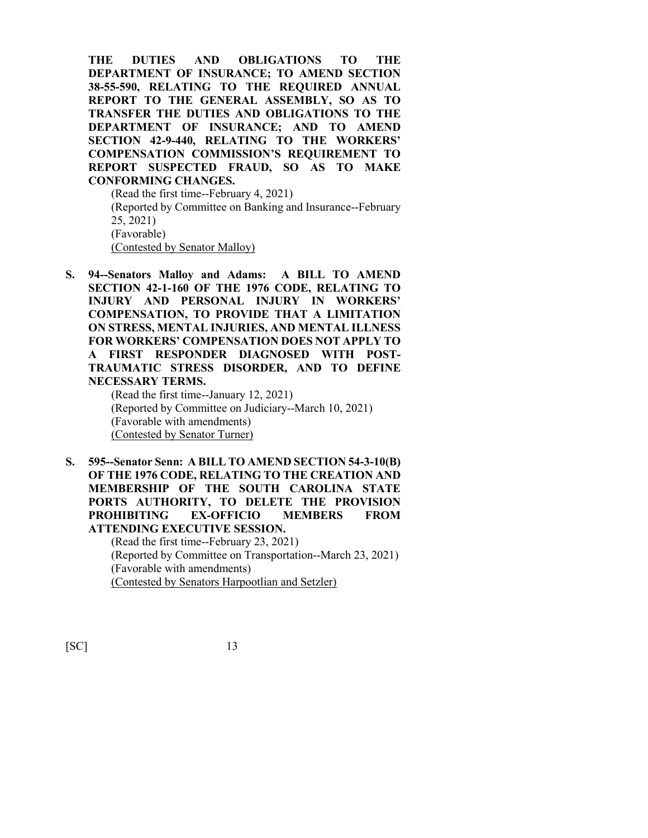**THE DUTIES AND OBLIGATIONS TO THE DEPARTMENT OF INSURANCE; TO AMEND SECTION 38-55-590, RELATING TO THE REQUIRED ANNUAL REPORT TO THE GENERAL ASSEMBLY, SO AS TO TRANSFER THE DUTIES AND OBLIGATIONS TO THE DEPARTMENT OF INSURANCE; AND TO AMEND SECTION 42-9-440, RELATING TO THE WORKERS' COMPENSATION COMMISSION'S REQUIREMENT TO REPORT SUSPECTED FRAUD, SO AS TO MAKE CONFORMING CHANGES.**

(Read the first time--February 4, 2021) (Reported by Committee on Banking and Insurance--February 25, 2021) (Favorable) (Contested by Senator Malloy)

**S. 94--Senators Malloy and Adams: A BILL TO AMEND SECTION 42-1-160 OF THE 1976 CODE, RELATING TO INJURY AND PERSONAL INJURY IN WORKERS' COMPENSATION, TO PROVIDE THAT A LIMITATION ON STRESS, MENTAL INJURIES, AND MENTAL ILLNESS FOR WORKERS' COMPENSATION DOES NOT APPLY TO A FIRST RESPONDER DIAGNOSED WITH POST-TRAUMATIC STRESS DISORDER, AND TO DEFINE NECESSARY TERMS.**

(Read the first time--January 12, 2021) (Reported by Committee on Judiciary--March 10, 2021) (Favorable with amendments) (Contested by Senator Turner)

**S. 595--Senator Senn: A BILL TO AMEND SECTION 54-3-10(B) OF THE 1976 CODE, RELATING TO THE CREATION AND MEMBERSHIP OF THE SOUTH CAROLINA STATE PORTS AUTHORITY, TO DELETE THE PROVISION PROHIBITING EX-OFFICIO MEMBERS FROM ATTENDING EXECUTIVE SESSION.**

(Read the first time--February 23, 2021) (Reported by Committee on Transportation--March 23, 2021) (Favorable with amendments) (Contested by Senators Harpootlian and Setzler)

[SC] 13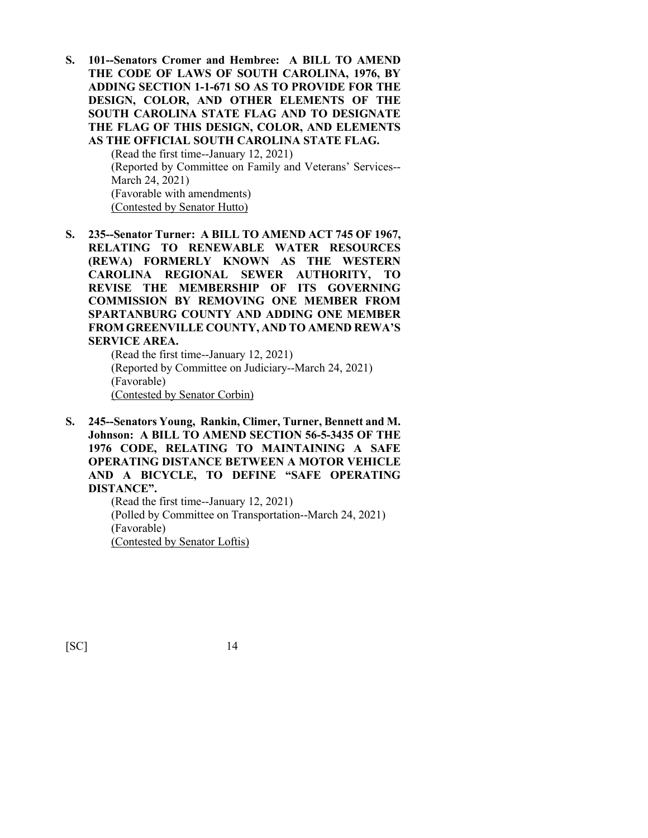**S. 101--Senators Cromer and Hembree: A BILL TO AMEND THE CODE OF LAWS OF SOUTH CAROLINA, 1976, BY ADDING SECTION 1-1-671 SO AS TO PROVIDE FOR THE DESIGN, COLOR, AND OTHER ELEMENTS OF THE SOUTH CAROLINA STATE FLAG AND TO DESIGNATE THE FLAG OF THIS DESIGN, COLOR, AND ELEMENTS AS THE OFFICIAL SOUTH CAROLINA STATE FLAG.**

> (Read the first time--January 12, 2021) (Reported by Committee on Family and Veterans' Services-- March 24, 2021) (Favorable with amendments) (Contested by Senator Hutto)

**S. 235--Senator Turner: A BILL TO AMEND ACT 745 OF 1967, RELATING TO RENEWABLE WATER RESOURCES (REWA) FORMERLY KNOWN AS THE WESTERN CAROLINA REGIONAL SEWER AUTHORITY, TO REVISE THE MEMBERSHIP OF ITS GOVERNING COMMISSION BY REMOVING ONE MEMBER FROM SPARTANBURG COUNTY AND ADDING ONE MEMBER FROM GREENVILLE COUNTY, AND TO AMEND REWA'S SERVICE AREA.**

(Read the first time--January 12, 2021) (Reported by Committee on Judiciary--March 24, 2021) (Favorable) (Contested by Senator Corbin)

**S. 245--Senators Young, Rankin, Climer, Turner, Bennett and M. Johnson: A BILL TO AMEND SECTION 56-5-3435 OF THE 1976 CODE, RELATING TO MAINTAINING A SAFE OPERATING DISTANCE BETWEEN A MOTOR VEHICLE AND A BICYCLE, TO DEFINE "SAFE OPERATING DISTANCE".**

(Read the first time--January 12, 2021) (Polled by Committee on Transportation--March 24, 2021) (Favorable) (Contested by Senator Loftis)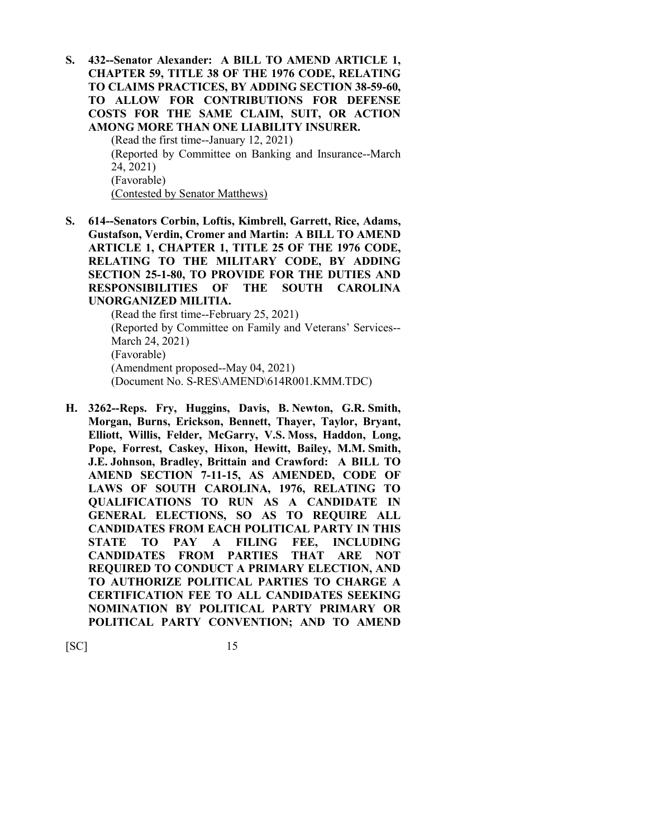**S. 432--Senator Alexander: A BILL TO AMEND ARTICLE 1, CHAPTER 59, TITLE 38 OF THE 1976 CODE, RELATING TO CLAIMS PRACTICES, BY ADDING SECTION 38-59-60, TO ALLOW FOR CONTRIBUTIONS FOR DEFENSE COSTS FOR THE SAME CLAIM, SUIT, OR ACTION AMONG MORE THAN ONE LIABILITY INSURER.**

(Read the first time--January 12, 2021) (Reported by Committee on Banking and Insurance--March 24, 2021) (Favorable) (Contested by Senator Matthews)

**S. 614--Senators Corbin, Loftis, Kimbrell, Garrett, Rice, Adams, Gustafson, Verdin, Cromer and Martin: A BILL TO AMEND ARTICLE 1, CHAPTER 1, TITLE 25 OF THE 1976 CODE, RELATING TO THE MILITARY CODE, BY ADDING SECTION 25-1-80, TO PROVIDE FOR THE DUTIES AND RESPONSIBILITIES OF THE SOUTH CAROLINA UNORGANIZED MILITIA.**

> (Read the first time--February 25, 2021) (Reported by Committee on Family and Veterans' Services-- March 24, 2021) (Favorable) (Amendment proposed--May 04, 2021) (Document No. S-RES\AMEND\614R001.KMM.TDC)

**H. 3262--Reps. Fry, Huggins, Davis, B. Newton, G.R. Smith, Morgan, Burns, Erickson, Bennett, Thayer, Taylor, Bryant, Elliott, Willis, Felder, McGarry, V.S. Moss, Haddon, Long, Pope, Forrest, Caskey, Hixon, Hewitt, Bailey, M.M. Smith, J.E. Johnson, Bradley, Brittain and Crawford: A BILL TO AMEND SECTION 7-11-15, AS AMENDED, CODE OF LAWS OF SOUTH CAROLINA, 1976, RELATING TO QUALIFICATIONS TO RUN AS A CANDIDATE IN GENERAL ELECTIONS, SO AS TO REQUIRE ALL CANDIDATES FROM EACH POLITICAL PARTY IN THIS STATE TO PAY A FILING FEE, INCLUDING CANDIDATES FROM PARTIES THAT ARE NOT REQUIRED TO CONDUCT A PRIMARY ELECTION, AND TO AUTHORIZE POLITICAL PARTIES TO CHARGE A CERTIFICATION FEE TO ALL CANDIDATES SEEKING NOMINATION BY POLITICAL PARTY PRIMARY OR POLITICAL PARTY CONVENTION; AND TO AMEND**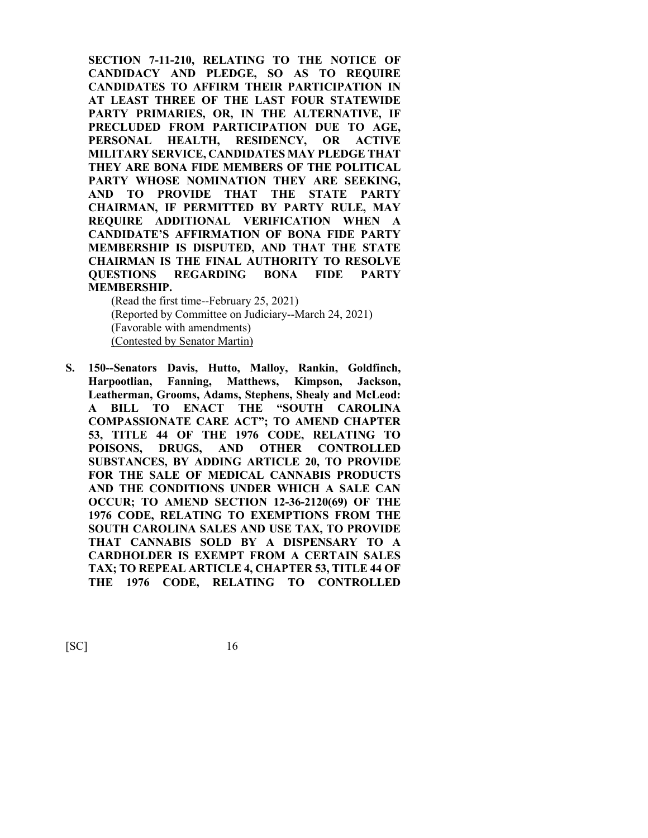**SECTION 7-11-210, RELATING TO THE NOTICE OF CANDIDACY AND PLEDGE, SO AS TO REQUIRE CANDIDATES TO AFFIRM THEIR PARTICIPATION IN AT LEAST THREE OF THE LAST FOUR STATEWIDE PARTY PRIMARIES, OR, IN THE ALTERNATIVE, IF PRECLUDED FROM PARTICIPATION DUE TO AGE, PERSONAL HEALTH, RESIDENCY, OR ACTIVE MILITARY SERVICE, CANDIDATES MAY PLEDGE THAT THEY ARE BONA FIDE MEMBERS OF THE POLITICAL PARTY WHOSE NOMINATION THEY ARE SEEKING, AND TO PROVIDE THAT THE STATE PARTY CHAIRMAN, IF PERMITTED BY PARTY RULE, MAY REQUIRE ADDITIONAL VERIFICATION WHEN A CANDIDATE'S AFFIRMATION OF BONA FIDE PARTY MEMBERSHIP IS DISPUTED, AND THAT THE STATE CHAIRMAN IS THE FINAL AUTHORITY TO RESOLVE QUESTIONS REGARDING BONA FIDE PARTY MEMBERSHIP.**

(Read the first time--February 25, 2021) (Reported by Committee on Judiciary--March 24, 2021) (Favorable with amendments) (Contested by Senator Martin)

**S. 150--Senators Davis, Hutto, Malloy, Rankin, Goldfinch, Harpootlian, Fanning, Matthews, Kimpson, Jackson, Leatherman, Grooms, Adams, Stephens, Shealy and McLeod: A BILL TO ENACT THE "SOUTH CAROLINA COMPASSIONATE CARE ACT"; TO AMEND CHAPTER 53, TITLE 44 OF THE 1976 CODE, RELATING TO POISONS, DRUGS, AND OTHER CONTROLLED SUBSTANCES, BY ADDING ARTICLE 20, TO PROVIDE FOR THE SALE OF MEDICAL CANNABIS PRODUCTS AND THE CONDITIONS UNDER WHICH A SALE CAN OCCUR; TO AMEND SECTION 12-36-2120(69) OF THE 1976 CODE, RELATING TO EXEMPTIONS FROM THE SOUTH CAROLINA SALES AND USE TAX, TO PROVIDE THAT CANNABIS SOLD BY A DISPENSARY TO A CARDHOLDER IS EXEMPT FROM A CERTAIN SALES TAX; TO REPEAL ARTICLE 4, CHAPTER 53, TITLE 44 OF THE 1976 CODE, RELATING TO CONTROLLED**

 $[SC]$  16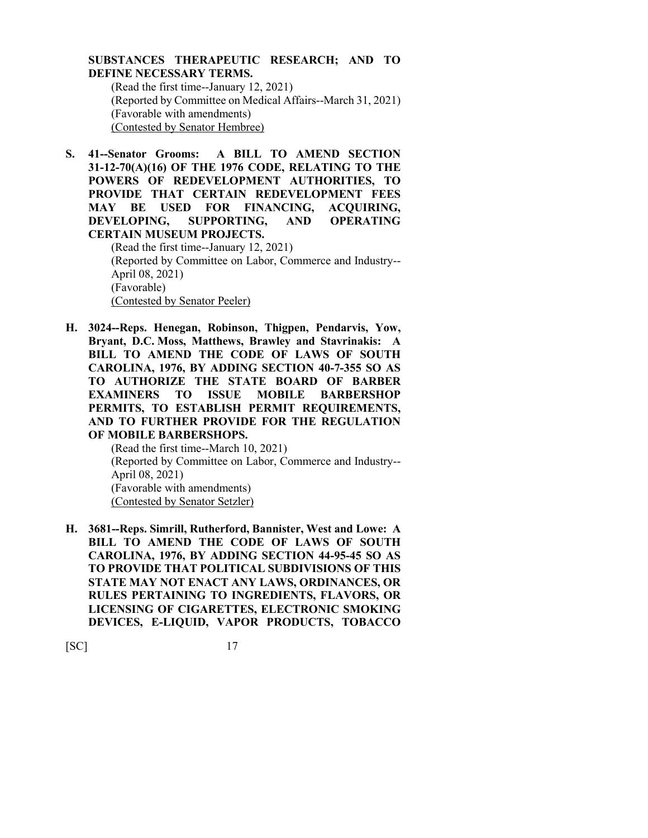## **SUBSTANCES THERAPEUTIC RESEARCH; AND TO DEFINE NECESSARY TERMS.**

(Read the first time--January 12, 2021) (Reported by Committee on Medical Affairs--March 31, 2021) (Favorable with amendments) (Contested by Senator Hembree)

**S. 41--Senator Grooms: A BILL TO AMEND SECTION 31-12-70(A)(16) OF THE 1976 CODE, RELATING TO THE POWERS OF REDEVELOPMENT AUTHORITIES, TO PROVIDE THAT CERTAIN REDEVELOPMENT FEES MAY BE USED FOR FINANCING, ACQUIRING, DEVELOPING, SUPPORTING, AND OPERATING CERTAIN MUSEUM PROJECTS.**

(Read the first time--January 12, 2021) (Reported by Committee on Labor, Commerce and Industry-- April 08, 2021) (Favorable) (Contested by Senator Peeler)

**H. 3024--Reps. Henegan, Robinson, Thigpen, Pendarvis, Yow, Bryant, D.C. Moss, Matthews, Brawley and Stavrinakis: A BILL TO AMEND THE CODE OF LAWS OF SOUTH CAROLINA, 1976, BY ADDING SECTION 40-7-355 SO AS TO AUTHORIZE THE STATE BOARD OF BARBER EXAMINERS TO ISSUE MOBILE BARBERSHOP PERMITS, TO ESTABLISH PERMIT REQUIREMENTS, AND TO FURTHER PROVIDE FOR THE REGULATION OF MOBILE BARBERSHOPS.**

(Read the first time--March 10, 2021) (Reported by Committee on Labor, Commerce and Industry-- April 08, 2021) (Favorable with amendments) (Contested by Senator Setzler)

**H. 3681--Reps. Simrill, Rutherford, Bannister, West and Lowe: A BILL TO AMEND THE CODE OF LAWS OF SOUTH CAROLINA, 1976, BY ADDING SECTION 44-95-45 SO AS TO PROVIDE THAT POLITICAL SUBDIVISIONS OF THIS STATE MAY NOT ENACT ANY LAWS, ORDINANCES, OR RULES PERTAINING TO INGREDIENTS, FLAVORS, OR LICENSING OF CIGARETTES, ELECTRONIC SMOKING DEVICES, E-LIQUID, VAPOR PRODUCTS, TOBACCO**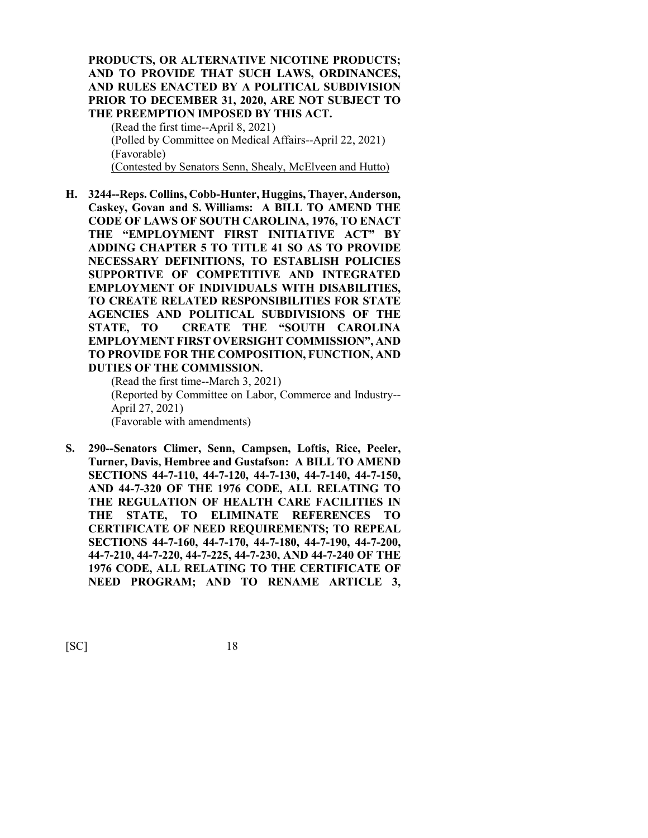## **PRODUCTS, OR ALTERNATIVE NICOTINE PRODUCTS; AND TO PROVIDE THAT SUCH LAWS, ORDINANCES, AND RULES ENACTED BY A POLITICAL SUBDIVISION PRIOR TO DECEMBER 31, 2020, ARE NOT SUBJECT TO THE PREEMPTION IMPOSED BY THIS ACT.**

(Read the first time--April 8, 2021) (Polled by Committee on Medical Affairs--April 22, 2021) (Favorable) (Contested by Senators Senn, Shealy, McElveen and Hutto)

**H. 3244--Reps. Collins, Cobb-Hunter, Huggins, Thayer, Anderson, Caskey, Govan and S. Williams: A BILL TO AMEND THE CODE OF LAWS OF SOUTH CAROLINA, 1976, TO ENACT THE "EMPLOYMENT FIRST INITIATIVE ACT" BY ADDING CHAPTER 5 TO TITLE 41 SO AS TO PROVIDE NECESSARY DEFINITIONS, TO ESTABLISH POLICIES SUPPORTIVE OF COMPETITIVE AND INTEGRATED EMPLOYMENT OF INDIVIDUALS WITH DISABILITIES, TO CREATE RELATED RESPONSIBILITIES FOR STATE AGENCIES AND POLITICAL SUBDIVISIONS OF THE STATE, TO CREATE THE "SOUTH CAROLINA EMPLOYMENT FIRST OVERSIGHT COMMISSION", AND TO PROVIDE FOR THE COMPOSITION, FUNCTION, AND DUTIES OF THE COMMISSION.**

(Read the first time--March 3, 2021) (Reported by Committee on Labor, Commerce and Industry-- April 27, 2021) (Favorable with amendments)

**S. 290--Senators Climer, Senn, Campsen, Loftis, Rice, Peeler, Turner, Davis, Hembree and Gustafson: A BILL TO AMEND SECTIONS 44-7-110, 44-7-120, 44-7-130, 44-7-140, 44-7-150, AND 44-7-320 OF THE 1976 CODE, ALL RELATING TO THE REGULATION OF HEALTH CARE FACILITIES IN THE STATE, TO ELIMINATE REFERENCES TO CERTIFICATE OF NEED REQUIREMENTS; TO REPEAL SECTIONS 44-7-160, 44-7-170, 44-7-180, 44-7-190, 44-7-200, 44-7-210, 44-7-220, 44-7-225, 44-7-230, AND 44-7-240 OF THE 1976 CODE, ALL RELATING TO THE CERTIFICATE OF NEED PROGRAM; AND TO RENAME ARTICLE 3,**

[SC] 18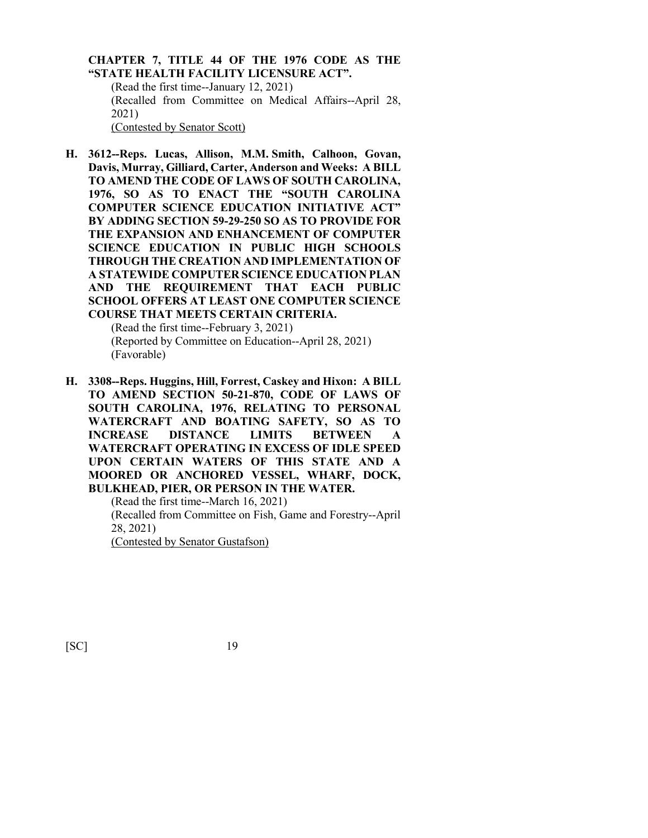**CHAPTER 7, TITLE 44 OF THE 1976 CODE AS THE "STATE HEALTH FACILITY LICENSURE ACT".** (Read the first time--January 12, 2021) (Recalled from Committee on Medical Affairs--April 28, 2021) (Contested by Senator Scott)

**H. 3612--Reps. Lucas, Allison, M.M. Smith, Calhoon, Govan, Davis, Murray, Gilliard, Carter, Anderson and Weeks: A BILL TO AMEND THE CODE OF LAWS OF SOUTH CAROLINA, 1976, SO AS TO ENACT THE "SOUTH CAROLINA COMPUTER SCIENCE EDUCATION INITIATIVE ACT" BY ADDING SECTION 59-29-250 SO AS TO PROVIDE FOR THE EXPANSION AND ENHANCEMENT OF COMPUTER SCIENCE EDUCATION IN PUBLIC HIGH SCHOOLS THROUGH THE CREATION AND IMPLEMENTATION OF A STATEWIDE COMPUTER SCIENCE EDUCATION PLAN AND THE REQUIREMENT THAT EACH PUBLIC SCHOOL OFFERS AT LEAST ONE COMPUTER SCIENCE COURSE THAT MEETS CERTAIN CRITERIA.**

> (Read the first time--February 3, 2021) (Reported by Committee on Education--April 28, 2021) (Favorable)

**H. 3308--Reps. Huggins, Hill, Forrest, Caskey and Hixon: A BILL TO AMEND SECTION 50-21-870, CODE OF LAWS OF SOUTH CAROLINA, 1976, RELATING TO PERSONAL WATERCRAFT AND BOATING SAFETY, SO AS TO INCREASE DISTANCE LIMITS BETWEEN A WATERCRAFT OPERATING IN EXCESS OF IDLE SPEED UPON CERTAIN WATERS OF THIS STATE AND A MOORED OR ANCHORED VESSEL, WHARF, DOCK, BULKHEAD, PIER, OR PERSON IN THE WATER.**

(Read the first time--March 16, 2021) (Recalled from Committee on Fish, Game and Forestry--April 28, 2021) (Contested by Senator Gustafson)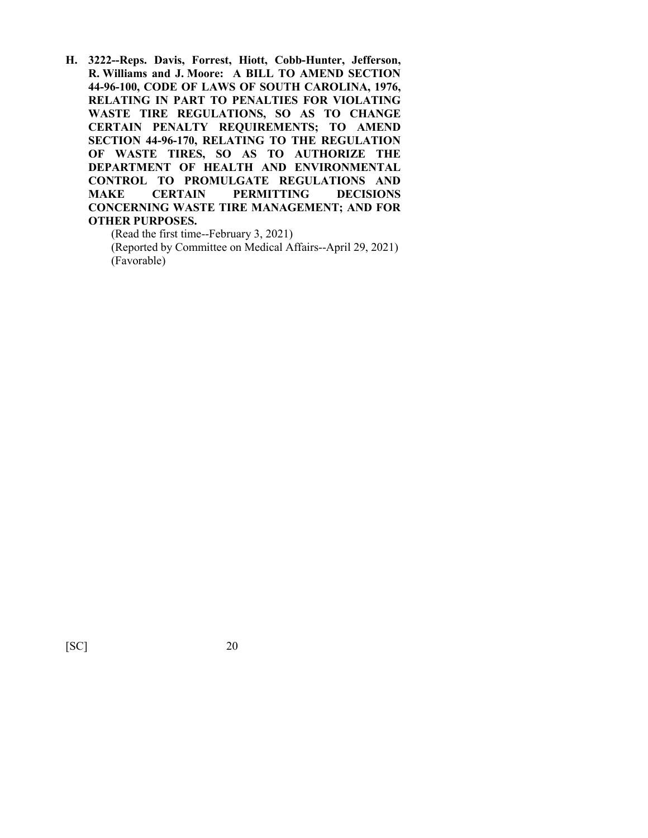**H. 3222--Reps. Davis, Forrest, Hiott, Cobb-Hunter, Jefferson, R. Williams and J. Moore: A BILL TO AMEND SECTION 44-96-100, CODE OF LAWS OF SOUTH CAROLINA, 1976, RELATING IN PART TO PENALTIES FOR VIOLATING WASTE TIRE REGULATIONS, SO AS TO CHANGE CERTAIN PENALTY REQUIREMENTS; TO AMEND SECTION 44-96-170, RELATING TO THE REGULATION OF WASTE TIRES, SO AS TO AUTHORIZE THE DEPARTMENT OF HEALTH AND ENVIRONMENTAL CONTROL TO PROMULGATE REGULATIONS AND MAKE CERTAIN PERMITTING DECISIONS CONCERNING WASTE TIRE MANAGEMENT; AND FOR OTHER PURPOSES.**

(Read the first time--February 3, 2021)

(Reported by Committee on Medical Affairs--April 29, 2021) (Favorable)

[SC] 20